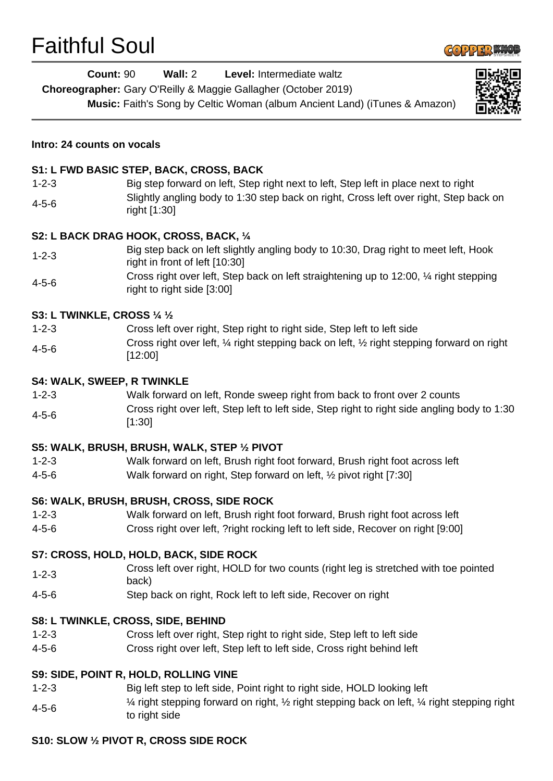# $F_{\text{tot}}(t) = \sum_{i=1}^{n}$



| <b>Faithful Soul</b> |                                                                                                                                                                                                          |  |  |
|----------------------|----------------------------------------------------------------------------------------------------------------------------------------------------------------------------------------------------------|--|--|
|                      | Wall: 2<br>Level: Intermediate waltz<br><b>Count: 90</b><br>Choreographer: Gary O'Reilly & Maggie Gallagher (October 2019)<br>Music: Faith's Song by Celtic Woman (album Ancient Land) (iTunes & Amazon) |  |  |
|                      | Intro: 24 counts on vocals                                                                                                                                                                               |  |  |
|                      | S1: L FWD BASIC STEP, BACK, CROSS, BACK                                                                                                                                                                  |  |  |
| $1 - 2 - 3$          | Big step forward on left, Step right next to left, Step left in place next to right                                                                                                                      |  |  |
| $4 - 5 - 6$          | Slightly angling body to 1:30 step back on right, Cross left over right, Step back on<br>right [1:30]                                                                                                    |  |  |
|                      | S2: L BACK DRAG HOOK, CROSS, BACK, 1/4                                                                                                                                                                   |  |  |
| $1 - 2 - 3$          | Big step back on left slightly angling body to 10:30, Drag right to meet left, Hook<br>right in front of left [10:30]                                                                                    |  |  |
| $4 - 5 - 6$          | Cross right over left, Step back on left straightening up to 12:00, 1/4 right stepping<br>right to right side [3:00]                                                                                     |  |  |
|                      | S3: L TWINKLE, CROSS 1/4 1/2                                                                                                                                                                             |  |  |
| $1 - 2 - 3$          | Cross left over right, Step right to right side, Step left to left side                                                                                                                                  |  |  |
| $4 - 5 - 6$          | Cross right over left, 1/4 right stepping back on left, 1/2 right stepping forward on right<br>[12:00]                                                                                                   |  |  |
|                      | <b>S4: WALK, SWEEP, R TWINKLE</b>                                                                                                                                                                        |  |  |
| $1 - 2 - 3$          | Walk forward on left, Ronde sweep right from back to front over 2 counts                                                                                                                                 |  |  |
| $4 - 5 - 6$          | Cross right over left, Step left to left side, Step right to right side angling body to 1:30<br>[1:30]                                                                                                   |  |  |
|                      | S5: WALK, BRUSH, BRUSH, WALK, STEP 1/2 PIVOT                                                                                                                                                             |  |  |
| $1 - 2 - 3$          | Walk forward on left, Brush right foot forward, Brush right foot across left                                                                                                                             |  |  |
| $4 - 5 - 6$          | Walk forward on right, Step forward on left, 1/2 pivot right [7:30]                                                                                                                                      |  |  |
|                      | S6: WALK, BRUSH, BRUSH, CROSS, SIDE ROCK                                                                                                                                                                 |  |  |
| $1 - 2 - 3$          | Walk forward on left, Brush right foot forward, Brush right foot across left                                                                                                                             |  |  |
| $4 - 5 - 6$          | Cross right over left, ?right rocking left to left side, Recover on right [9:00]                                                                                                                         |  |  |
|                      | S7: CROSS, HOLD, HOLD, BACK, SIDE ROCK                                                                                                                                                                   |  |  |
| $1 - 2 - 3$          | Cross left over right, HOLD for two counts (right leg is stretched with toe pointed<br>back)                                                                                                             |  |  |
| $4 - 5 - 6$          | Step back on right, Rock left to left side, Recover on right                                                                                                                                             |  |  |
|                      | S8: L TWINKLE, CROSS, SIDE, BEHIND                                                                                                                                                                       |  |  |

- 1-2-3 Cross left over right, Step right to right side, Step left to left side
- 4-5-6 Cross right over left, Step left to left side, Cross right behind left

# **S9: SIDE, POINT R, HOLD, ROLLING VINE**

- 1-2-3 Big left step to left side, Point right to right side, HOLD looking left
- 4-5-6 ¼ right stepping forward on right, ½ right stepping back on left, ¼ right stepping right to right side

# **S10: SLOW ½ PIVOT R, CROSS SIDE ROCK**